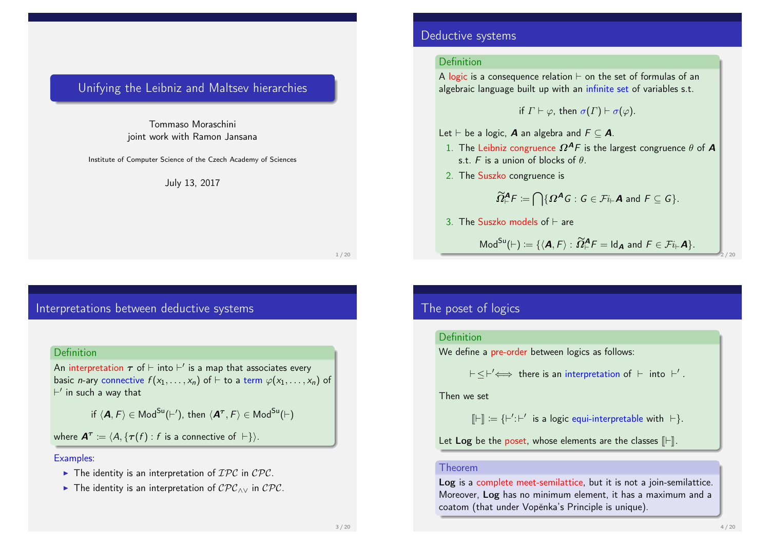### Unifying the Leibniz and Maltsev hierarchies

Tommaso Moraschini joint work with Ramon Jansana

Institute of Computer Science of the Czech Academy of Sciences

July 13, 2017

1 / 20

### Interpretations between deductive systems

### **Definition**

An interpretation  $\bm{\tau}$  of  $\vdash$  into  $\vdash'$  is a map that associates every basic *n*-ary connective  $f(x_1, \ldots, x_n)$  of  $\vdash$  to a term  $\varphi(x_1, \ldots, x_n)$  of  $\vdash'$  in such a way that

if  $\langle \bm A, F \rangle \in \sf{Mod}^{\rm Su}(F'),$  then  $\langle \bm A^\tau, F \rangle \in \sf{Mod}^{\rm Su}(F)$ 

where  $\mathbf{A}^{\tau} \coloneqq \langle A, \{\tau(f) : f \text{ is a connective of } \vdash \} \rangle.$ 

#### Examples:

- $\blacktriangleright$  The identity is an interpretation of  $\mathcal{IPC}$  in  $\mathcal{CPC}$ .
- **►** The identity is an interpretation of  $\mathcal{CPC}_{\land\lor}$  in  $\mathcal{CPC}$ .

### Deductive systems

### **Definition**

A logic is a consequence relation  $\vdash$  on the set of formulas of an algebraic language built up with an infinite set of variables s.t.

if  $\Gamma \vdash \varphi$ , then  $\sigma(\Gamma) \vdash \sigma(\varphi)$ .

- Let  $\vdash$  be a logic, **A** an algebra and  $F \subseteq$  **A**.
- 1. The Leibniz congruence  $\Omega^{A}F$  is the largest congruence  $\theta$  of **A** s.t. F is a union of blocks of  $\theta$ .
- 2. The Suszko congruence is

$$
\widetilde{\Omega}^{\mathbf{A}}_{\vdash}F \coloneqq \bigcap \{ \Omega^{\mathbf{A}}G : G \in \mathcal{F}i_{\vdash} \mathbf{A} \text{ and } F \subseteq G \}.
$$

3. The Suszko models of  $\vdash$  are

$$
\mathsf{Mod}^{Su}(\vdash) \coloneqq \{ \langle \boldsymbol{A}, F \rangle : \widetilde{\Omega}^{\boldsymbol{A}}_{\vdash} F = \mathsf{Id}_{\boldsymbol{A}} \text{ and } F \in \mathcal{F}i_{\vdash} \boldsymbol{A} \}.
$$

2 / 20

### The poset of logics

### Definition

We define a pre-order between logics as follows:

 $\vdash \leq \vdash' \Longleftrightarrow$  there is an interpretation of  $\vdash$  into  $\vdash'$  .

Then we set

 $[\![\vdash]\!] := {\{\vdash' : \vdash' \text{ is a logic equi-interpretable with } \vdash \}}.$ 

Let Log be the poset, whose elements are the classes  $[F]$ .

#### Theorem

Log is a complete meet-semilattice, but it is not a join-semilattice. Moreover, Log has no minimum element, it has a maximum and a coatom (that under Vopěnka's Principle is unique).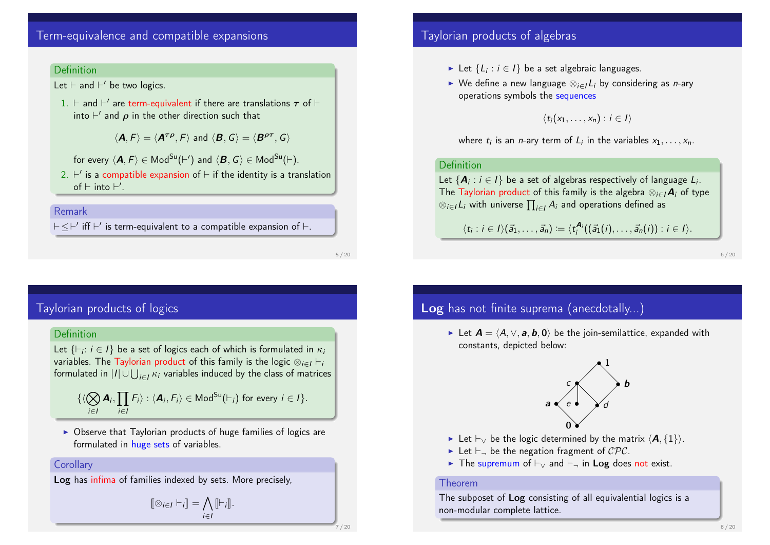## Term-equivalence and compatible expansions

#### **Definition**

Let  $\vdash$  and  $\vdash'$  be two logics.

1.  $\vdash$  and  $\vdash'$  are term-equivalent if there are translations  $\boldsymbol{\tau}$  of  $\vdash$ into  $\vdash'$  and  $\boldsymbol{\rho}$  in the other direction such that

 $\langle \mathbf{A}, F \rangle = \langle \mathbf{A}^{\tau\rho}, F \rangle$  and  $\langle \mathbf{B}, G \rangle = \langle \mathbf{B}^{\rho\tau}, G \rangle$ 

for every  $\langle \bm A, F\rangle \in \sf{Mod}^{\rm Su}(\vdash')$  and  $\langle \bm B, \mathcal G\rangle \in \sf{Mod}^{\rm Su}(\vdash).$ 

2.  $\vdash'$  is a compatible expansion of  $\vdash$  if the identity is a translation of  $\vdash$  into  $\vdash'$ .

### Remark

 $\vdash \leq \vdash'$  iff  $\vdash'$  is term-equivalent to a compatible expansion of  $\vdash$  .

5 / 20

## Taylorian products of logics

### Definition

Let  $\{\vdash_i : i \in I\}$  be a set of logics each of which is formulated in  $\kappa_i$ variables. The Taylorian product of this family is the logic  $\otimes_{i \in I} \vdash_i$ formulated in  $|I|$   $\cup$   $\bigcup_{i \in I} \kappa_i$  variables induced by the class of matrices

$$
\{\langle \bigotimes_{i\in I} \mathbf{A}_i, \prod_{i\in I} F_i \rangle : \langle \mathbf{A}_i, F_i \rangle \in \mathsf{Mod}^{\mathsf{Su}}(F_i) \text{ for every } i \in I\}.
$$

 $\triangleright$  Observe that Taylorian products of huge families of logics are formulated in huge sets of variables.

### **Corollary**

Log has infima of families indexed by sets. More precisely,

$$
[\![\otimes_{i\in I}\vdash_i]\!] = \bigwedge_{i\in I} [\![\vdash_i]\!].
$$

## Taylorian products of algebras

- ► Let  $\{L_i : i \in I\}$  be a set algebraic languages.
- $\triangleright$  We define a new language  $\otimes_{i\in I} L_i$  by considering as *n*-ary operations symbols the sequences

 $\langle t_i(x_1, \ldots, x_n) : i \in I \rangle$ 

where  $t_i$  is an *n*-ary term of  $L_i$  in the variables  $x_1, \ldots, x_n$ .

### Definition

Let  $\left\{ \bm{A}_{i}:i\in I\right\}$  be a set of algebras respectively of language  $L_{i}.$ The Taylorian product of this family is the algebra  $\otimes_{i\in I} A_i$  of type  $\otimes_{i\in I} L_i$  with universe  $\prod_{i\in I} A_i$  and operations defined as

 $\langle t_i : i \in I \rangle(\vec{a}_1, \ldots, \vec{a}_n) := \langle t_i^{\mathbf{A}_i}((\vec{a}_1(i), \ldots, \vec{a}_n(i)) : i \in I \rangle.$ 

6 / 20

# Log has not finite suprema (anecdotally...)

► Let  $A = \langle A, \vee, a, b, 0 \rangle$  be the join-semilattice, expanded with constants, depicted below:



- ► Let  $\vdash_{\vee}$  be the logic determined by the matrix  $\langle A, \{1\}\rangle$ .
- In Let  $\vdash_{\neg}$  be the negation fragment of  $\mathcal{CPC}$ .
- **Fig.** The supremum of  $\vdash_v$  and  $\vdash_\neg$  in Log does not exist.

#### Theorem

The subposet of Log consisting of all equivalential logics is a non-modular complete lattice.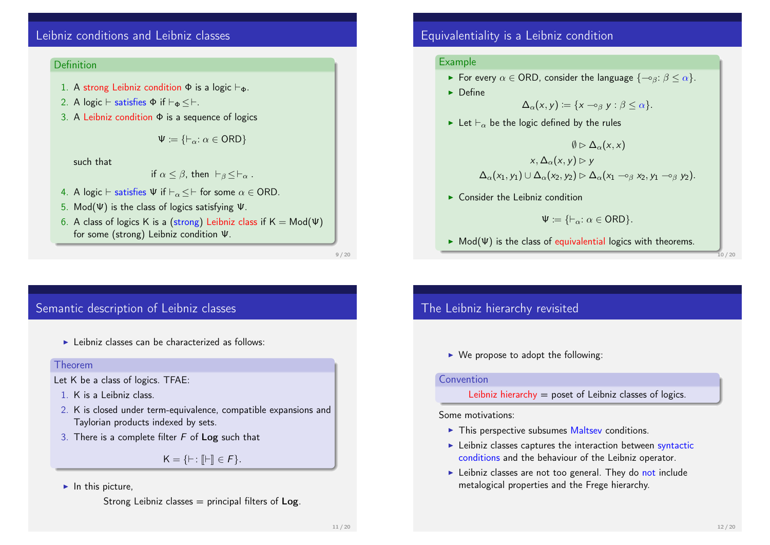# Leibniz conditions and Leibniz classes

### **Definition**

- 1. A strong Leibniz condition  $\Phi$  is a logic  $\vdash_{\Phi}$ .
- 2. A logic  $\vdash$  satisfies  $\Phi$  if  $\vdash_{\Phi} \leq \vdash$ .
- 3. A Leibniz condition  $\Phi$  is a sequence of logics

$$
\Psi \coloneqq \{\vdash_\alpha : \alpha \in \mathsf{ORD}\}
$$

such that

if 
$$
\alpha \le \beta
$$
, then  $\vdash_{\beta} \le \vdash_{\alpha}$ .

- 4. A logic  $\vdash$  satisfies  $\Psi$  if  $\vdash_{\alpha} \leq \vdash$  for some  $\alpha \in$  ORD.
- 5. Mod(Ψ) is the class of logics satisfying Ψ.
- 6. A class of logics K is a (strong) Leibniz class if  $K = Mod(\Psi)$ for some (strong) Leibniz condition Ψ.

9 / 20

## Semantic description of Leibniz classes

 $\blacktriangleright$  Leibniz classes can be characterized as follows:

#### Theorem

- Let K be a class of logics. TFAE:
- 1. K is a Leibniz class.
- 2. K is closed under term-equivalence, compatible expansions and Taylorian products indexed by sets.
- 3. There is a complete filter  $F$  of Log such that

 $K = \{ \vdash : \mathbb{I} \vdash \mathbb{I} \in F \}.$ 

### $\blacktriangleright$  In this picture,

Strong Leibniz classes  $=$  principal filters of Log.

## Equivalentiality is a Leibniz condition

### Example

- For every  $\alpha \in$  ORD, consider the language  $\{-\delta \beta : \beta \leq \alpha\}$ .
- $\blacktriangleright$  Define

$$
\Delta_{\alpha}(x,y) \coloneqq \{x \multimap_{\beta} y : \beta \leq \alpha\}.
$$

Exercise Let  $\vdash_{\alpha}$  be the logic defined by the rules

$$
\emptyset \rhd \Delta_{\alpha}(x, x)
$$

$$
x, \Delta_{\alpha}(x, y) \rhd y
$$

$$
\Delta_{\alpha}(x_1, y_1) \cup \Delta_{\alpha}(x_2, y_2) \rhd \Delta_{\alpha}(x_1 \rightharpoonup_{\beta} x_2, y_1 \rightharpoonup_{\beta} y_2).
$$

 $\triangleright$  Consider the Leibniz condition

$$
\Psi:=\{\vdash_\alpha:\alpha\in\mathsf{ORD}\}.
$$

 $\triangleright$  Mod(Ψ) is the class of equivalential logics with theorems.

10 / 20

# The Leibniz hierarchy revisited

 $\triangleright$  We propose to adopt the following:

#### Convention

Leibniz hierarchy  $=$  poset of Leibniz classes of logics.

Some motivations:

- $\blacktriangleright$  This perspective subsumes Maltsey conditions.
- $\blacktriangleright$  Leibniz classes captures the interaction between syntactic conditions and the behaviour of the Leibniz operator.
- $\blacktriangleright$  Leibniz classes are not too general. They do not include metalogical properties and the Frege hierarchy.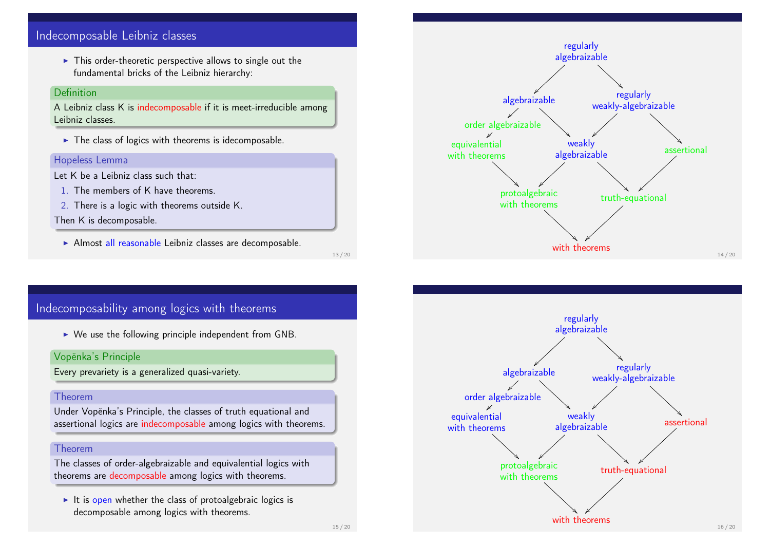## Indecomposable Leibniz classes

 $\blacktriangleright$  This order-theoretic perspective allows to single out the fundamental bricks of the Leibniz hierarchy:

### Definition

A Leibniz class K is indecomposable if it is meet-irreducible among Leibniz classes.

 $\blacktriangleright$  The class of logics with theorems is idecomposable.

### Hopeless Lemma

- Let K be a Leibniz class such that:
	- 1. The members of K have theorems.
- 2. There is a logic with theorems outside K.

### Then K is decomposable.

 $\triangleright$  Almost all reasonable Leibniz classes are decomposable.

13 / 20



## Indecomposability among logics with theorems

 $\triangleright$  We use the following principle independent from GNB.

### Vopěnka's Principle

Every prevariety is a generalized quasi-variety.

#### Theorem

Under Vopěnka's Principle, the classes of truth equational and assertional logics are indecomposable among logics with theorems.

### Theorem

The classes of order-algebraizable and equivalential logics with theorems are decomposable among logics with theorems.

 $\blacktriangleright$  It is open whether the class of protoalgebraic logics is decomposable among logics with theorems.